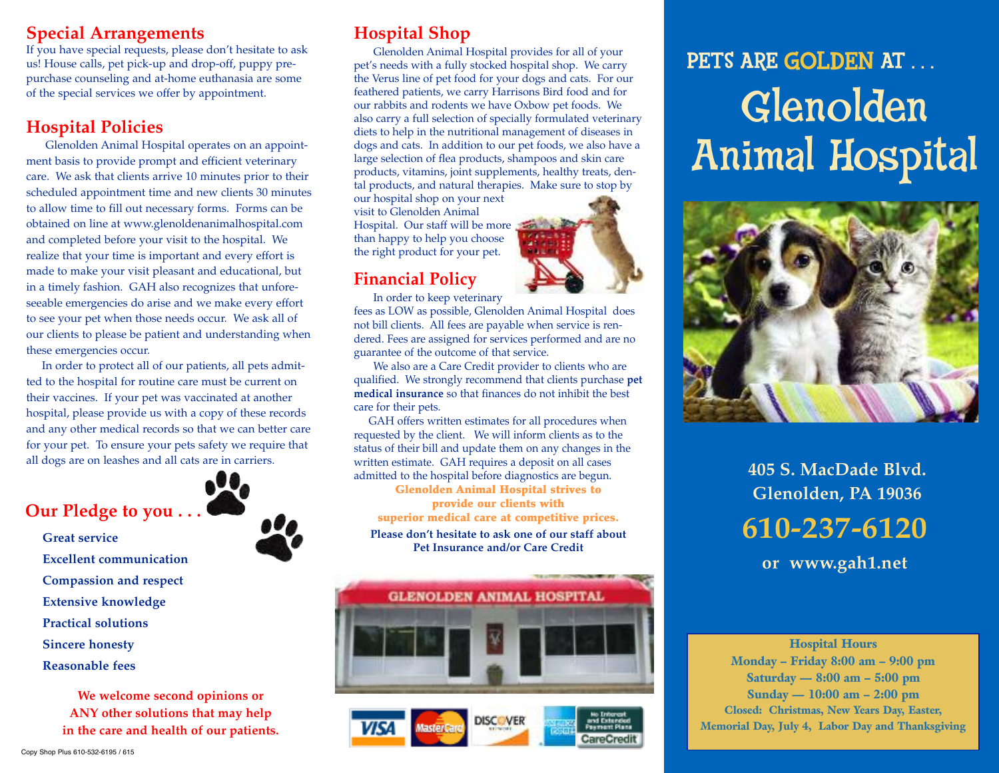### **Special Arrangements**

If you have special requests, please don't hesitate to ask us! House calls, pet pick-up and drop-off, puppy prepurchase counseling and at-home euthanasia are some of the special services we offer by appointment.

### **Hospital Policies**

Glenolden Animal Hospital operates on an appointment basis to provide prompt and efficient veterinary care. We ask that clients arrive 10 minutes prior to their scheduled appointment time and new clients 30 minutes to allow time to fill out necessary forms. Forms can be obtained on line at www.glenoldenanimalhospital.com and completed before your visit to the hospital. We realize that your time is important and every effort is made to make your visit pleasant and educational, but in a timely fashion. GAH also recognizes that unforeseeable emergencies do arise and we make every effort to see your pet when those needs occur. We ask all of our clients to please be patient and understanding when these emergencies occur.

In order to protect all of our patients, all pets admitted to the hospital for routine care must be current on their vaccines. If your pet was vaccinated at another hospital, please provide us with a copy of these records and any other medical records so that we can better care for your pet. To ensure your pets safety we require that all dogs are on leashes and all cats are in carriers.





- **Great service**
	- **Excellent communication**
	- **Compassion and respect**
	- **Extensive knowledge**
	- **Practical solutions**
- **Sincere honesty**
- **Reasonable fees**

**We welcome second opinions or ANY other solutions that may help in the care and health of our patients.**

Glenolden Animal Hospital provides for all of your pet's needs with a fully stocked hospital shop. We carry the Verus line of pet food for your dogs and cats. For our feathered patients, we carry Harrisons Bird food and for our rabbits and rodents we have Oxbow pet foods. We also carry a full selection of specially formulated veterinary diets to help in the nutritional management of diseases in dogs and cats. In addition to our pet foods, we also have a large selection of flea products, shampoos and skin care products, vitamins, joint supplements, healthy treats, dental products, and natural therapies. Make sure to stop by

our hospital shop on your next visit to Glenolden Animal Hospital. Our staff will be more than happy to help you choose the right product for your pet.

### **Financial Policy**

In order to keep veterinary

fees as LOW as possible, Glenolden Animal Hospital does not bill clients. All fees are payable when service is rendered. Fees are assigned for services performed and are no guarantee of the outcome of that service.

We also are a Care Credit provider to clients who are qualified. We strongly recommend that clients purchase **pet medical insurance** so that finances do not inhibit the best care for their pets.

GAH offers written estimates for all procedures when requested by the client. We will inform clients as to the status of their bill and update them on any changes in the written estimate. GAH requires a deposit on all cases admitted to the hospital before diagnostics are begun.

**Glenolden Animal Hospital strives to provide our clients with superior medical care at competitive prices.**

**Please don't hesitate to ask one of our staff about Pet Insurance and/or Care Credit**





# PETS ARE GOLDEN AT ... Glenolden Animal Hospital



**405 S. MacDade Blvd. Glenolden, PA 19036**

**610-237-6120**

**or www.gah1.net**

**Hospital Hours Monday – Friday 8:00 am – 9:00 pm Saturday — 8:00 am – 5:00 pm Sunday — 10:00 am – 2:00 pm Closed: Christmas, New Years Day, Easter, Memorial Day, July 4, Labor Day and Thanksgiving**